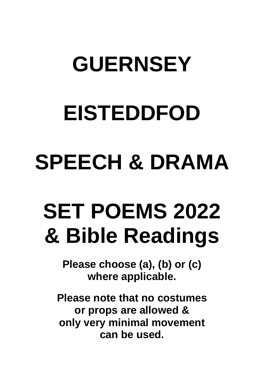# **GUERNSEY**

# **EISTEDDFOD**

# **SPEECH & DRAMA**

# **SET POEMS 2022 & Bible Readings**

**Please choose (a), (b) or (c) where applicable.**

**Please note that no costumes or props are allowed & only very minimal movement can be used.**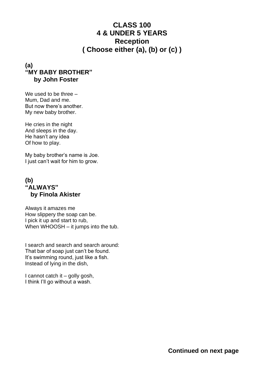# **CLASS 100 4 & UNDER 5 YEARS Reception ( Choose either (a), (b) or (c) )**

#### **(a) "MY BABY BROTHER" by John Foster**

We used to be three – Mum, Dad and me. But now there's another. My new baby brother.

He cries in the night And sleeps in the day. He hasn't any idea Of how to play.

My baby brother's name is Joe. I just can't wait for him to grow.

#### **(b) "ALWAYS" by Finola Akister**

Always it amazes me How slippery the soap can be. I pick it up and start to rub, When WHOOSH – it jumps into the tub.

I search and search and search around: That bar of soap just can't be found. It's swimming round, just like a fish. Instead of lying in the dish,

I cannot catch it – golly gosh, I think I'll go without a wash.

**Continued on next page**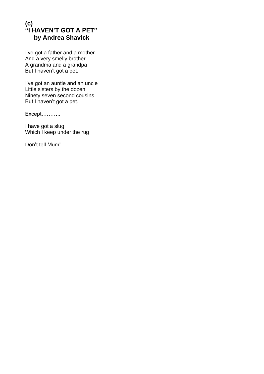#### **(c) "I HAVEN'T GOT A PET" by Andrea Shavick**

I've got a father and a mother And a very smelly brother A grandma and a grandpa But I haven't got a pet.

I've got an auntie and an uncle Little sisters by the dozen Ninety seven second cousins But I haven't got a pet.

Except………..

I have got a slug Which I keep under the rug

Don't tell Mum!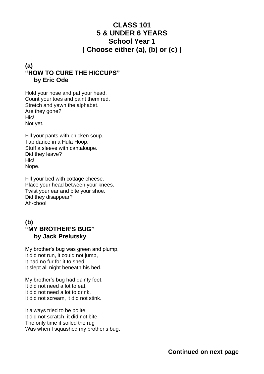# **CLASS 101 5 & UNDER 6 YEARS School Year 1 ( Choose either (a), (b) or (c) )**

#### **(a) "HOW TO CURE THE HICCUPS" by Eric Ode**

Hold your nose and pat your head. Count your toes and paint them red. Stretch and yawn the alphabet. Are they gone? Hic! Not yet.

Fill your pants with chicken soup. Tap dance in a Hula Hoop. Stuff a sleeve with cantaloupe. Did they leave? Hic! Nope.

Fill your bed with cottage cheese. Place your head between your knees. Twist your ear and bite your shoe. Did they disappear? Ah-choo!

#### **(b) "MY BROTHER'S BUG" by Jack Prelutsky**

My brother's bug was green and plump, It did not run, it could not jump, It had no fur for it to shed, It slept all night beneath his bed.

My brother's bug had dainty feet, It did not need a lot to eat, It did not need a lot to drink, It did not scream, it did not stink.

It always tried to be polite, It did not scratch, it did not bite, The only time it soiled the rug Was when I squashed my brother's bug.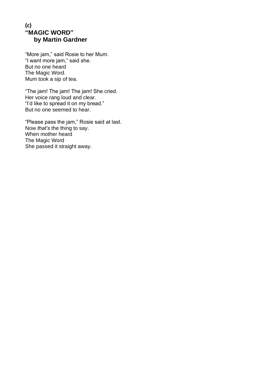#### **(c) "MAGIC WORD" by Martin Gardner**

"More jam," said Rosie to her Mum. "I want more jam," said she. But no one heard The Magic Word. Mum took a sip of tea.

"The jam! The jam! The jam! She cried. Her voice rang loud and clear. "I'd like to spread it on my bread." But no one seemed to hear.

"Please pass the jam," Rosie said at last. Now *that's* the thing to say. When mother heard The Magic Word She passed it straight away.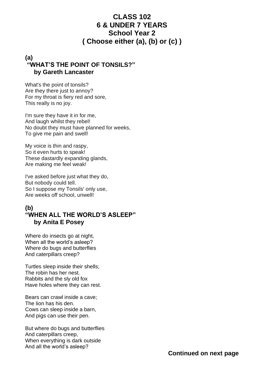#### **CLASS 102 6 & UNDER 7 YEARS School Year 2 ( Choose either (a), (b) or (c) )**

#### **(a) "WHAT'S THE POINT OF TONSILS?" by Gareth Lancaster**

What's the point of tonsils? Are they there just to annoy? For my throat is fiery red and sore, This really is no joy.

I'm sure they have it in for me, And laugh whilst they rebel! No doubt they must have planned for weeks, To give me pain and swell!

My voice is thin and raspy, So it even hurts to speak! These dastardly expanding glands, Are making me feel weak!

I've asked before just what they do, But nobody could tell. So I suppose my Tonsils' only use, Are weeks off school, unwell!

#### **(b) "WHEN ALL THE WORLD'S ASLEEP" by Anita E Posey**

Where do insects go at night, When all the world's asleep? Where do bugs and butterflies And caterpillars creep?

Turtles sleep inside their shells; The robin has her nest. Rabbits and the sly old fox Have holes where they can rest.

Bears can crawl inside a cave; The lion has his den. Cows can sleep inside a barn, And pigs can use their pen.

But where do bugs and butterflies And caterpillars creep, When everything is dark outside And all the world's asleep?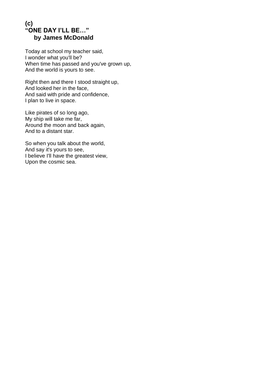#### **(c) "ONE DAY I'LL BE…" by James McDonald**

Today at school my teacher said, I wonder what you'll be? When time has passed and you've grown up, And the world is yours to see.

Right then and there I stood straight up, And looked her in the face, And said with pride and confidence, I plan to live in space.

Like pirates of so long ago, My ship will take me far, Around the moon and back again, And to a distant star.

So when you talk about the world, And say it's yours to see, I believe I'll have the greatest view, Upon the cosmic sea.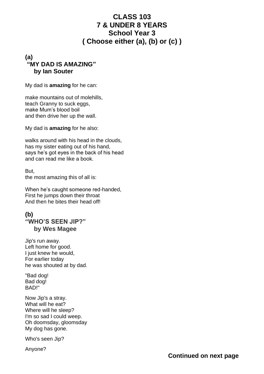#### **CLASS 103 7 & UNDER 8 YEARS School Year 3 ( Choose either (a), (b) or (c) )**

#### **(a) "MY DAD IS AMAZING" by Ian Souter**

My dad is **amazing** for he can:

make mountains out of molehills, teach Granny to suck eggs, make Mum's blood boil and then drive her up the wall.

My dad is **amazing** for he also:

walks around with his head in the clouds, has my sister eating out of his hand, says he's got eyes in the back of his head and can read me like a book.

But, the most amazing this of all is:

When he's caught someone red-handed, First he jumps down their throat And then he bites their head off!

#### **(b) "WHO'S SEEN JIP?"**

 **by Wes Magee**

Jip's run away. Left home for good. I just knew he would, For earlier today he was shouted at by dad.

"Bad dog! Bad dog! BAD!"

Now Jip's a stray. What will he eat? Where will he sleep? I'm so sad I could weep. Oh doomsday, gloomsday My dog has gone.

Who's seen Jip?

Anyone?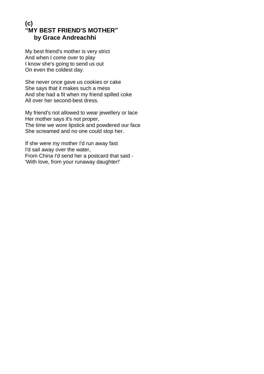#### **(c) "MY BEST FRIEND'S MOTHER" by Grace Andreachhi**

My best friend's mother is very strict And when I come over to play I know she's going to send us out On even the coldest day.

She never once gave us cookies or cake She says that it makes such a mess And she had a fit when my friend spilled coke All over her second-best dress.

My friend's not allowed to wear jewellery or lace Her mother says it's not proper, The time we wore lipstick and powdered our face She screamed and no one could stop her.

If she were my mother I'd run away fast I'd sail away over the water, From China I'd send her a postcard that said - 'With love, from your runaway daughter!'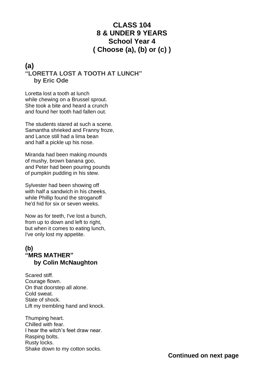# **CLASS 104 8 & UNDER 9 YEARS School Year 4 ( Choose (a), (b) or (c) )**

#### **(a) "LORETTA LOST A TOOTH AT LUNCH" by Eric Ode**

Loretta lost a tooth at lunch while chewing on a Brussel sprout. She took a bite and heard a crunch and found her tooth had fallen out.

The students stared at such a scene. Samantha shrieked and Franny froze, and Lance still had a lima bean and half a pickle up his nose.

Miranda had been making mounds of mushy, brown banana goo, and Peter had been pouring pounds of pumpkin pudding in his stew.

Sylvester had been showing off with half a sandwich in his cheeks, while Phillip found the stroganoff he'd hid for six or seven weeks.

Now as for teeth, I've lost a bunch, from up to down and left to right, but when it comes to eating lunch, I've only lost my appetite.

#### **(b) "MRS MATHER" by Colin McNaughton**

Scared stiff. Courage flown. On that doorstep all alone. Cold sweat. State of shock. Lift my trembling hand and knock.

Thumping heart. Chilled with fear. I hear the witch's feet draw near. Rasping bolts. Rusty locks. Shake down to my cotton socks.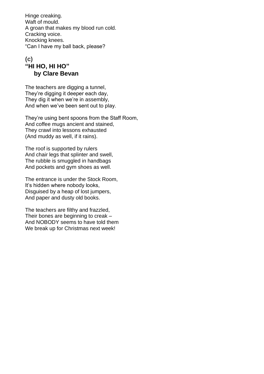Hinge creaking. Waft of mould. A groan that makes my blood run cold. Cracking voice. Knocking knees. "Can I have my ball back, please?

#### **(c) "HI HO, HI HO" by Clare Bevan**

The teachers are digging a tunnel, They're digging it deeper each day, They dig it when we're in assembly, And when we've been sent out to play.

They're using bent spoons from the Staff Room, And coffee mugs ancient and stained, They crawl into lessons exhausted (And muddy as well, if it rains).

The roof is supported by rulers And chair legs that splinter and swell, The rubble is smuggled in handbags And pockets and gym shoes as well.

The entrance is under the Stock Room, It's hidden where nobody looks, Disguised by a heap of lost jumpers, And paper and dusty old books.

The teachers are filthy and frazzled, Their bones are beginning to creak – And NOBODY seems to have told them We break up for Christmas next week!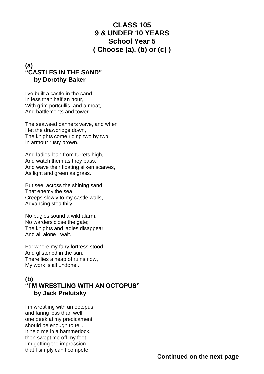# **CLASS 105 9 & UNDER 10 YEARS School Year 5 ( Choose (a), (b) or (c) )**

#### **(a) "CASTLES IN THE SAND" by Dorothy Baker**

I've built a castle in the sand In less than half an hour, With grim portcullis, and a moat, And battlements and tower.

The seaweed banners wave, and when I let the drawbridge down, The knights come riding two by two In armour rusty brown.

And ladies lean from turrets high, And watch them as they pass, And wave their floating silken scarves, As light and green as grass.

But see! across the shining sand, That enemy the sea Creeps slowly to my castle walls, Advancing stealthily.

No bugles sound a wild alarm, No warders close the gate; The knights and ladies disappear, And all alone I wait.

For where my fairy fortress stood And glistened in the sun, There lies a heap of ruins now, My work is all undone..

#### **(b) "I'M WRESTLING WITH AN OCTOPUS" by Jack Prelutsky**

I'm wrestling with an octopus and faring less than well, one peek at my predicament should be enough to tell. It held me in a hammerlock, then swept me off my feet, I'm getting the impression that I simply can't compete.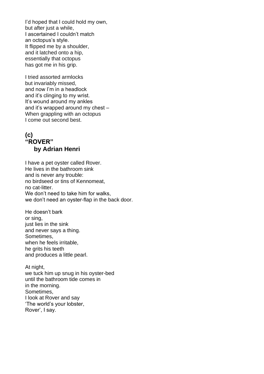I'd hoped that I could hold my own, but after just a while, I ascertained I couldn't match an octopus's style. It flipped me by a shoulder, and it latched onto a hip, essentially that octopus has got me in his grip.

I tried assorted armlocks but invariably missed, and now I'm in a headlock and it's clinging to my wrist. It's wound around my ankles and it's wrapped around my chest – When grappling with an octopus I come out second best.

#### **(c) "ROVER" by Adrian Henri**

I have a pet oyster called Rover. He lives in the bathroom sink and is never any trouble: no birdseed or tins of Kennomeat, no cat-litter. We don't need to take him for walks, we don't need an oyster-flap in the back door.

He doesn't bark or sing, just lies in the sink and never says a thing. Sometimes, when he feels irritable, he grits his teeth and produces a little pearl.

At night. we tuck him up snug in his oyster-bed until the bathroom tide comes in in the morning. Sometimes, I look at Rover and say 'The world's your lobster, Rover', I say.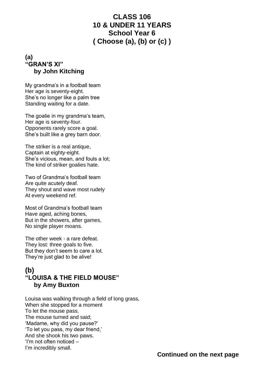#### **CLASS 106 10 & UNDER 11 YEARS School Year 6 ( Choose (a), (b) or (c) )**

#### **(a) "GRAN'S XI" by John Kitching**

My grandma's in a football team Her age is seventy-eight. She's no longer like a palm tree Standing waiting for a date.

The goalie in my grandma's team, Her age is seventy-four. Opponents rarely score a goal. She's built like a grey barn door.

The striker is a real antique, Captain at eighty-eight. She's vicious, mean, and fouls a lot; The kind of striker goalies hate.

Two of Grandma's football team Are quite acutely deaf. They shout and wave most rudely At every weekend ref.

Most of Grandma's football team Have aged, aching bones, But in the showers, after games, No single player moans.

The other week - a rare defeat. They lost: three goals to five. But they don't seem to care a lot. They're just glad to be alive!

#### **(b) "LOUISA & THE FIELD MOUSE" by Amy Buxton**

Louisa was walking through a field of long grass, When she stopped for a moment To let the mouse pass. The mouse turned and said; 'Madame, why did you pause?' 'To let you pass, my dear friend,' And she shook his two paws. 'I'm not often noticed – I'm incredibly small.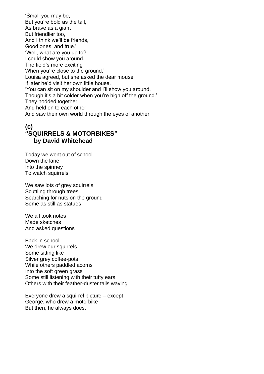'Small you may be, But you're bold as the tall, As brave as a giant But friendlier too, And I think we'll be friends, Good ones, and true.' 'Well, what are you up to? I could show you around. The field's more exciting When you're close to the ground.' Louisa agreed, but she asked the dear mouse If later he'd visit her own little house. 'You can sit on my shoulder and I'll show you around, Though it's a bit colder when you're high off the ground.' They nodded together, And held on to each other And saw their own world through the eyes of another.

#### **(c) "SQUIRRELS & MOTORBIKES" by David Whitehead**

Today we went out of school Down the lane Into the spinney To watch squirrels

We saw lots of grey squirrels Scuttling through trees Searching for nuts on the ground Some as still as statues

We all took notes Made sketches And asked questions

Back in school We drew our squirrels Some sitting like Silver grey coffee-pots While others paddled acorns Into the soft green grass Some still listening with their tufty ears Others with their feather-duster tails waving

Everyone drew a squirrel picture – except George, who drew a motorbike But then, he always does.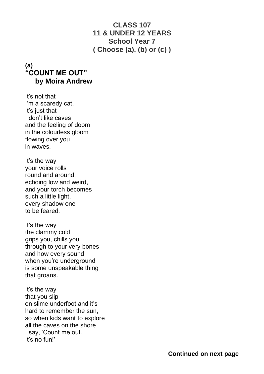# **CLASS 107 11 & UNDER 12 YEARS School Year 7 ( Choose (a), (b) or (c) )**

### **(a) "COUNT ME OUT" by Moira Andrew**

It's not that I'm a scaredy cat, It's just that I don't like caves and the feeling of doom in the colourless gloom flowing over you in waves.

It's the way your voice rolls round and around, echoing low and weird, and your torch becomes such a little light, every shadow one to be feared.

It's the way the clammy cold grips you, chills you through to your very bones and how every sound when you're underground is some unspeakable thing that groans.

It's the way that you slip on slime underfoot and it's hard to remember the sun, so when kids want to explore all the caves on the shore I say, 'Count me out. It's no fun!'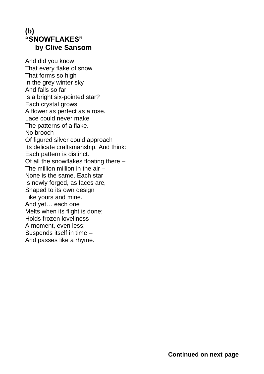# **(b) "SNOWFLAKES" by Clive Sansom**

And did you know That every flake of snow That forms so high In the grey winter sky And falls so far Is a bright six-pointed star? Each crystal grows A flower as perfect as a rose. Lace could never make The patterns of a flake. No brooch Of figured silver could approach Its delicate craftsmanship. And think: Each pattern is distinct. Of all the snowflakes floating there – The million million in the air – None is the same. Each star Is newly forged, as faces are, Shaped to its own design Like yours and mine. And yet… each one Melts when its flight is done; Holds frozen loveliness A moment, even less; Suspends itself in time – And passes like a rhyme.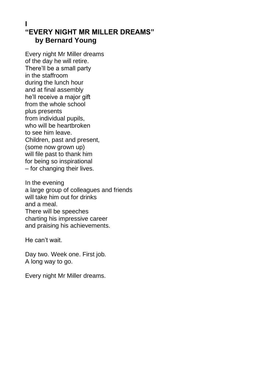#### **I "EVERY NIGHT MR MILLER DREAMS" by Bernard Young**

Every night Mr Miller dreams of the day he will retire. There'll be a small party in the staffroom during the lunch hour and at final assembly he'll receive a major gift from the whole school plus presents from individual pupils, who will be heartbroken to see him leave. Children, past and present, (some now grown up) will file past to thank him for being so inspirational – for changing their lives.

In the evening a large group of colleagues and friends will take him out for drinks and a meal. There will be speeches charting his impressive career and praising his achievements.

He can't wait.

Day two. Week one. First job. A long way to go.

Every night Mr Miller dreams.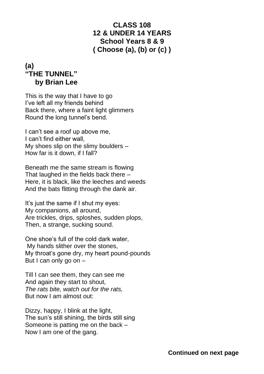# **CLASS 108 12 & UNDER 14 YEARS School Years 8 & 9 ( Choose (a), (b) or (c) )**

# **(a) "THE TUNNEL" by Brian Lee**

This is the way that I have to go I've left all my friends behind Back there, where a faint light glimmers Round the long tunnel's bend.

I can't see a roof up above me, I can't find either wall, My shoes slip on the slimy boulders – How far is it down, if I fall?

Beneath me the same stream is flowing That laughed in the fields back there – Here, it is black, like the leeches and weeds And the bats flitting through the dank air.

It's just the same if I shut my eyes: My companions, all around, Are trickles, drips, sploshes, sudden plops, Then, a strange, sucking sound.

One shoe's full of the cold dark water, My hands slither over the stones, My throat's gone dry, my heart pound-pounds But I can only go on –

Till I can see them, they can see me And again they start to shout, *The rats bite, watch out for the rats,*  But now I am almost out:

Dizzy, happy, I blink at the light, The sun's still shining, the birds still sing Someone is patting me on the back – Now I am one of the gang.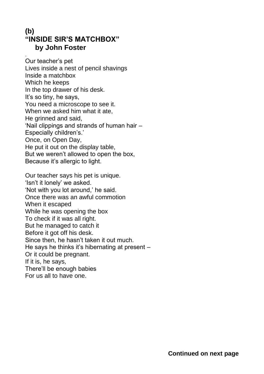# **(b) "INSIDE SIR'S MATCHBOX" by John Foster**

. Our teacher's pet Lives inside a nest of pencil shavings Inside a matchbox Which he keeps In the top drawer of his desk. It's so tiny, he says, You need a microscope to see it. When we asked him what it ate, He grinned and said, 'Nail clippings and strands of human hair – Especially children's.' Once, on Open Day, He put it out on the display table, But we weren't allowed to open the box, Because it's allergic to light. Our teacher says his pet is unique. 'Isn't it lonely' we asked. 'Not with you lot around,' he said. Once there was an awful commotion When it escaped While he was opening the box To check if it was all right. But he managed to catch it Before it got off his desk. Since then, he hasn't taken it out much. He says he thinks it's hibernating at present –

Or it could be pregnant.

If it is, he says,

There'll be enough babies

For us all to have one.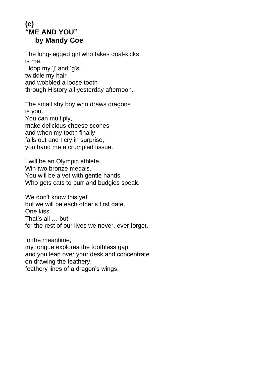# **(c) "ME AND YOU" by Mandy Coe**

The long-legged girl who takes goal-kicks is me, I loop my 'j' and 'g's. twiddle my hair and wobbled a loose tooth through History all yesterday afternoon.

The small shy boy who draws dragons is you. You can multiply, make delicious cheese scones and when my tooth finally falls out and I cry in surprise, you hand me a crumpled tissue.

I will be an Olympic athlete, Win two bronze medals. You will be a vet with gentle hands Who gets cats to purr and budgies speak.

We don't know this yet but we will be each other's first date. One kiss. That's all … but for the rest of our lives we never, ever forget.

In the meantime, my tongue explores the toothless gap and you lean over your desk and concentrate on drawing the feathery, feathery lines of a dragon's wings.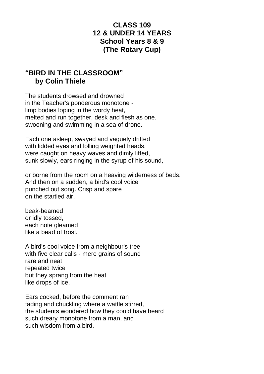## **CLASS 109 12 & UNDER 14 YEARS School Years 8 & 9 (The Rotary Cup)**

# **"BIRD IN THE CLASSROOM" by Colin Thiele**

The students drowsed and drowned in the Teacher's ponderous monotone limp bodies loping in the wordy heat, melted and run together, desk and flesh as one. swooning and swimming in a sea of drone.

Each one asleep, swayed and vaguely drifted with lidded eyes and lolling weighted heads, were caught on heavy waves and dimly lifted, sunk slowly, ears ringing in the syrup of his sound,

or borne from the room on a heaving wilderness of beds. And then on a sudden, a bird's cool voice punched out song. Crisp and spare on the startled air,

beak-beamed or idly tossed, each note gleamed like a bead of frost.

A bird's cool voice from a neighbour's tree with five clear calls - mere grains of sound rare and neat repeated twice but they sprang from the heat like drops of ice.

Ears cocked, before the comment ran fading and chuckling where a wattle stirred, the students wondered how they could have heard such dreary monotone from a man, and such wisdom from a bird.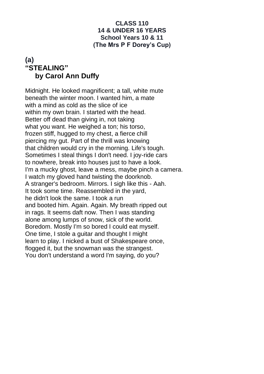#### **CLASS 110 14 & UNDER 16 YEARS School Years 10 & 11 (The Mrs P F Dorey's Cup)**

#### **(a) "STEALING" by Carol Ann Duffy**

Midnight. He looked magnificent; a tall, white mute beneath the winter moon. I wanted him, a mate with a mind as cold as the slice of ice within my own brain. I started with the head. Better off dead than giving in, not taking what you want. He weighed a ton; his torso, frozen stiff, hugged to my chest, a fierce chill piercing my gut. Part of the thrill was knowing that children would cry in the morning. Life's tough. Sometimes I steal things I don't need. I joy-ride cars to nowhere, break into houses just to have a look. I'm a mucky ghost, leave a mess, maybe pinch a camera. I watch my gloved hand twisting the doorknob. A stranger's bedroom. Mirrors. I sigh like this - Aah. It took some time. Reassembled in the yard, he didn't look the same. I took a run and booted him. Again. Again. My breath ripped out in rags. It seems daft now. Then I was standing alone among lumps of snow, sick of the world. Boredom. Mostly I'm so bored I could eat myself. One time, I stole a guitar and thought I might learn to play. I nicked a bust of Shakespeare once, flogged it, but the snowman was the strangest. You don't understand a word I'm saying, do you?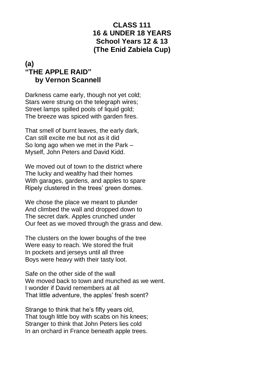# **CLASS 111 16 & UNDER 18 YEARS School Years 12 & 13 (The Enid Zabiela Cup)**

## **(a) "THE APPLE RAID" by Vernon Scannell**

Darkness came early, though not yet cold; Stars were strung on the telegraph wires; Street lamps spilled pools of liquid gold; The breeze was spiced with garden fires.

That smell of burnt leaves, the early dark, Can still excite me but not as it did So long ago when we met in the Park – Myself, John Peters and David Kidd.

We moved out of town to the district where The lucky and wealthy had their homes With garages, gardens, and apples to spare Ripely clustered in the trees' green domes.

We chose the place we meant to plunder And climbed the wall and dropped down to The secret dark. Apples crunched under Our feet as we moved through the grass and dew.

The clusters on the lower boughs of the tree Were easy to reach. We stored the fruit In pockets and jerseys until all three Boys were heavy with their tasty loot.

Safe on the other side of the wall We moved back to town and munched as we went. I wonder if David remembers at all That little adventure, the apples' fresh scent?

Strange to think that he's fifty years old, That tough little boy with scabs on his knees; Stranger to think that John Peters lies cold In an orchard in France beneath apple trees.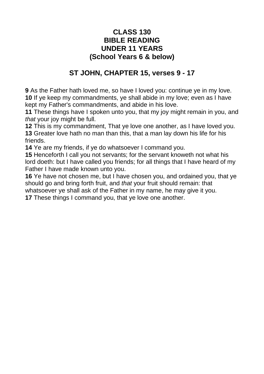#### **CLASS 130 BIBLE READING UNDER 11 YEARS (School Years 6 & below)**

# **ST JOHN, CHAPTER 15, verses 9 - 17**

**9** [As the Father hath loved me, so have I loved you: continue ye in my love.](https://www.kingjamesbibleonline.org/John-15-9/) **10** [If ye keep my commandments, ye shall abide in my love; even as I have](https://www.kingjamesbibleonline.org/John-15-10/)  [kept my Father's commandments, and abide in his love.](https://www.kingjamesbibleonline.org/John-15-10/)

**11** [These things have I spoken unto you, that my joy might remain in you, and](https://www.kingjamesbibleonline.org/John-15-11/)  *that* [your joy might be full.](https://www.kingjamesbibleonline.org/John-15-11/)

**12** [This is my commandment, That ye love one another, as I have loved you.](https://www.kingjamesbibleonline.org/John-15-12/) **13** [Greater love hath no man than this, that a man lay down his life for his](https://www.kingjamesbibleonline.org/John-15-13/)  [friends.](https://www.kingjamesbibleonline.org/John-15-13/)

**14** [Ye are my friends, if ye do whatsoever I command you.](https://www.kingjamesbibleonline.org/John-15-14/)

**15** [Henceforth I call you not servants; for the servant knoweth not what his](https://www.kingjamesbibleonline.org/John-15-15/)  [lord doeth: but I have called you friends; for all things that I have heard of my](https://www.kingjamesbibleonline.org/John-15-15/)  [Father I have made known unto you.](https://www.kingjamesbibleonline.org/John-15-15/)

**16** [Ye have not chosen me, but I have chosen you, and ordained you, that ye](https://www.kingjamesbibleonline.org/John-15-16/)  [should go and bring forth fruit, and](https://www.kingjamesbibleonline.org/John-15-16/) *that* your fruit should remain: that [whatsoever ye shall ask of the Father in my name, he may give it you.](https://www.kingjamesbibleonline.org/John-15-16/)

**17** [These things I command you, that ye love one another.](https://www.kingjamesbibleonline.org/John-15-17/)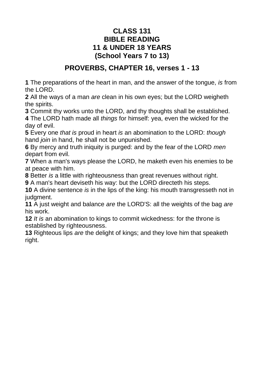#### **CLASS 131 BIBLE READING 11 & UNDER 18 YEARS (School Years 7 to 13)**

### **PROVERBS, CHAPTER 16, verses 1 - 13**

**1** [The preparations of the heart in man, and the answer of the tongue,](https://www.kingjamesbibleonline.org/Proverbs-16-1/) *is* from [the LORD.](https://www.kingjamesbibleonline.org/Proverbs-16-1/)

**2** All the ways of a man *are* [clean in his own eyes; but the LORD weigheth](https://www.kingjamesbibleonline.org/Proverbs-16-2/)  [the spirits.](https://www.kingjamesbibleonline.org/Proverbs-16-2/)

**3** [Commit thy works unto the LORD, and thy thoughts shall be established.](https://www.kingjamesbibleonline.org/Proverbs-16-3/)

**4** The LORD hath made all *things* [for himself: yea, even the wicked for the](https://www.kingjamesbibleonline.org/Proverbs-16-4/)  [day of evil.](https://www.kingjamesbibleonline.org/Proverbs-16-4/)

**5** Every one *that is* proud in heart *is* [an abomination to the LORD:](https://www.kingjamesbibleonline.org/Proverbs-16-5/) *though* hand *join* [in hand, he shall not be unpunished.](https://www.kingjamesbibleonline.org/Proverbs-16-5/)

**6** [By mercy and truth iniquity is purged: and by the fear of the LORD](https://www.kingjamesbibleonline.org/Proverbs-16-6/) *men* [depart from evil.](https://www.kingjamesbibleonline.org/Proverbs-16-6/)

**7** [When a man's ways please the LORD, he maketh even his enemies to be](https://www.kingjamesbibleonline.org/Proverbs-16-7/)  [at peace with him.](https://www.kingjamesbibleonline.org/Proverbs-16-7/)

**8** Better *is* [a little with righteousness than great revenues without right.](https://www.kingjamesbibleonline.org/Proverbs-16-8/)

**9** [A man's heart deviseth his way: but the LORD directeth his steps.](https://www.kingjamesbibleonline.org/Proverbs-16-9/)

**10** A divine sentence *is* [in the lips of the king: his mouth transgresseth not in](https://www.kingjamesbibleonline.org/Proverbs-16-10/)  [judgment.](https://www.kingjamesbibleonline.org/Proverbs-16-10/)

**11** A just weight and balance *are* [the LORD'S: all the weights of the bag](https://www.kingjamesbibleonline.org/Proverbs-16-11/) *are* [his work.](https://www.kingjamesbibleonline.org/Proverbs-16-11/)

**12** *It is* [an abomination to kings to commit wickedness: for the throne is](https://www.kingjamesbibleonline.org/Proverbs-16-12/)  [established by righteousness.](https://www.kingjamesbibleonline.org/Proverbs-16-12/)

**13** Righteous lips *are* [the delight of kings; and they love him that speaketh](https://www.kingjamesbibleonline.org/Proverbs-16-13/)  [right.](https://www.kingjamesbibleonline.org/Proverbs-16-13/)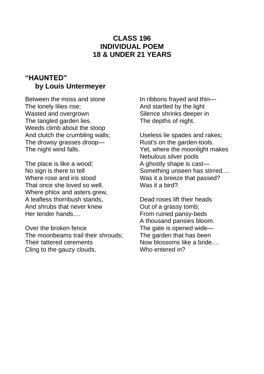#### **CLASS 196 INDIVIDUAL POEM 18 & UNDER 21 YEARS**

# **"HAUNTED" by Louis Untermeyer**

Between the moss and stone The lonely lilies rise; Wasted and overgrown The tangled garden lies. Weeds climb about the stoop And clutch the crumbling walls; The drowsy grasses droop— The night wind falls.

The place is like a wood; No sign is there to tell Where rose and iris stood That once she loved so well. Where phlox and asters grew, A leafless thornbush stands, And shrubs that never knew Her tender hands....

Over the broken fence The moonbeams trail their shrouds; Their tattered cerements Cling to the gauzy clouds,

In ribbons frayed and thin— And startled by the light Silence shrinks deeper in The depths of night.

Useless lie spades and rakes; Rust's on the garden-tools. Yet, where the moonlight makes Nebulous silver pools A ghostly shape is cast— Something unseen has stirred.... Was it a breeze that passed? Was it a bird?

Dead roses lift their heads Out of a grassy tomb; From ruined pansy-beds A thousand pansies bloom. The gate is opened wide— The garden that has been Now blossoms like a bride.... Who entered in?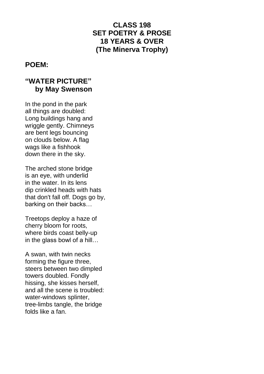## **CLASS 198 SET POETRY & PROSE 18 YEARS & OVER (The Minerva Trophy)**

#### **POEM:**

#### **"WATER PICTURE" by May Swenson**

In the pond in the park all things are doubled: Long buildings hang and wriggle gently. Chimneys are bent legs bouncing on clouds below. A flag wags like a fishhook down there in the sky.

The arched stone bridge is an eye, with underlid in the water. In its lens dip crinkled heads with hats that don't fall off. Dogs go by, barking on their backs…

Treetops deploy a haze of cherry bloom for roots, where birds coast belly-up in the glass bowl of a hill…

A swan, with twin necks forming the figure three, steers between two dimpled towers doubled. Fondly hissing, she kisses herself, and all the scene is troubled: water-windows splinter, tree-limbs tangle, the bridge folds like a fan.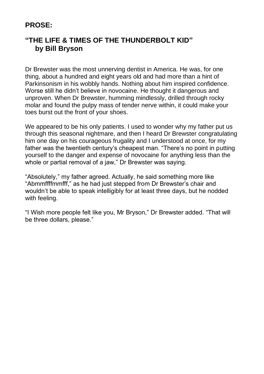#### **PROSE:**

# **"THE LIFE & TIMES OF THE THUNDERBOLT KID" by Bill Bryson**

Dr Brewster was the most unnerving dentist in America. He was, for one thing, about a hundred and eight years old and had more than a hint of Parkinsonism in his wobbly hands. Nothing about him inspired confidence. Worse still he didn't believe in novocaine. He thought it dangerous and unproven. When Dr Brewster, humming mindlessly, drilled through rocky molar and found the pulpy mass of tender nerve within, it could make your toes burst out the front of your shoes.

We appeared to be his only patients. I used to wonder why my father put us through this seasonal nightmare, and then I heard Dr Brewster congratulating him one day on his courageous frugality and I understood at once, for my father was the twentieth century's cheapest man. "There's no point in putting yourself to the danger and expense of novocaine for anything less than the whole or partial removal of a jaw," Dr Brewster was saying.

"Absolutely," my father agreed. Actually, he said something more like "Abmmffffmmfff," as he had just stepped from Dr Brewster's chair and wouldn't be able to speak intelligibly for at least three days, but he nodded with feeling.

"I Wish more people felt like you, Mr Bryson," Dr Brewster added. "That will be three dollars, please."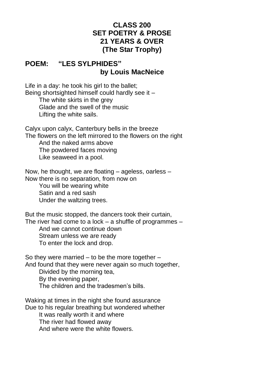### **CLASS 200 SET POETRY & PROSE 21 YEARS & OVER (The Star Trophy)**

#### **POEM: "LES SYLPHIDES" by Louis MacNeice**

Life in a day: he took his girl to the ballet; Being shortsighted himself could hardly see it – The white skirts in the grey Glade and the swell of the music

Lifting the white sails.

Calyx upon calyx, Canterbury bells in the breeze The flowers on the left mirrored to the flowers on the right And the naked arms above The powdered faces moving Like seaweed in a pool.

Now, he thought, we are floating – ageless, oarless – Now there is no separation, from now on

 You will be wearing white Satin and a red sash Under the waltzing trees.

But the music stopped, the dancers took their curtain, The river had come to a lock  $-$  a shuffle of programmes  $-$  And we cannot continue down Stream unless we are ready To enter the lock and drop.

So they were married  $-$  to be the more together  $-$ And found that they were never again so much together, Divided by the morning tea,

 By the evening paper, The children and the tradesmen's bills.

Waking at times in the night she found assurance Due to his regular breathing but wondered whether It was really worth it and where The river had flowed away And where were the white flowers.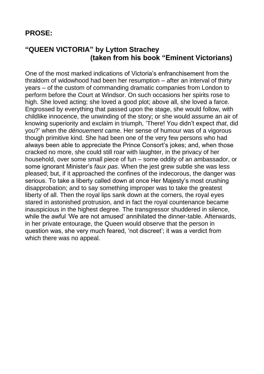#### **PROSE:**

### **"QUEEN VICTORIA" by Lytton Strachey (taken from his book "Eminent Victorians)**

One of the most marked indications of Victoria's enfranchisement from the thraldom of widowhood had been her resumption – after an interval of thirty years – of the custom of commanding dramatic companies from London to perform before the Court at Windsor. On such occasions her spirits rose to high. She loved acting; she loved a good plot; above all, she loved a farce. Engrossed by everything that passed upon the stage, she would follow, with childlike innocence, the unwinding of the story; or she would assume an air of knowing superiority and exclaim in triumph, 'There! You didn't expect *that*, did you?' when the *dénouement* came. Her sense of humour was of a vigorous though primitive kind. She had been one of the very few persons who had always been able to appreciate the Prince Consort's jokes; and, when those cracked no more, she could still roar with laughter, in the privacy of her household, over some small piece of fun – some oddity of an ambassador, or some ignorant Minister's *faux pas*. When the jest grew subtle she was less pleased; but, if it approached the confines of the indecorous, the danger was serious. To take a liberty called down at once Her Majesty's most crushing disapprobation; and to say something improper was to take the greatest liberty of all. Then the royal lips sank down at the corners, the royal eyes stared in astonished protrusion, and in fact the royal countenance became inauspicious in the highest degree. The transgressor shuddered in silence, while the awful 'We are not amused' annihilated the dinner-table. Afterwards, in her private entourage, the Queen would observe that the person in question was, she very much feared, 'not discreet'; it was a verdict from which there was no appeal.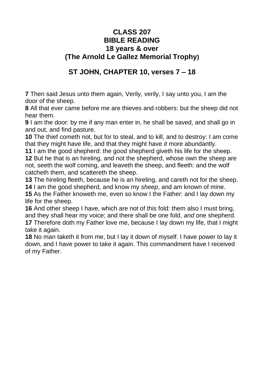#### **CLASS 207 BIBLE READING 18 years & over (The Arnold Le Gallez Memorial Trophy)**

# **ST JOHN, CHAPTER 10, verses 7 – 18**

**7** [Then said Jesus unto them again, Verily, verily, I say unto you, I am the](https://www.kingjamesbibleonline.org/John-10-7/)  [door of the sheep.](https://www.kingjamesbibleonline.org/John-10-7/)

**8** [All that ever came before me are thieves and robbers: but the sheep did not](https://www.kingjamesbibleonline.org/John-10-8/)  [hear them.](https://www.kingjamesbibleonline.org/John-10-8/)

**9** [I am the door: by me if any man enter in, he shall be saved, and shall go in](https://www.kingjamesbibleonline.org/John-10-9/)  [and out, and find pasture.](https://www.kingjamesbibleonline.org/John-10-9/)

**10** [The thief cometh not, but for to steal, and to kill, and to destroy: I am come](https://www.kingjamesbibleonline.org/John-10-10/)  [that they might have life, and that they might have](https://www.kingjamesbibleonline.org/John-10-10/) *it* more abundantly.

**11** [I am the good shepherd: the good shepherd giveth his life for the sheep.](https://www.kingjamesbibleonline.org/John-10-11/)

**12** [But he that is an hireling, and not the shepherd, whose own the sheep are](https://www.kingjamesbibleonline.org/John-10-12/)  [not, seeth the wolf coming, and leaveth the sheep, and fleeth: and the wolf](https://www.kingjamesbibleonline.org/John-10-12/)  [catcheth them, and scattereth the sheep.](https://www.kingjamesbibleonline.org/John-10-12/)

**13** [The hireling fleeth, because he is an hireling, and careth not for the sheep.](https://www.kingjamesbibleonline.org/John-10-13/) **14** [I am the good shepherd, and know my](https://www.kingjamesbibleonline.org/John-10-14/) *sheep*, and am known of mine.

**15** [As the Father knoweth me, even so know I the Father: and I lay down my](https://www.kingjamesbibleonline.org/John-10-15/)  [life for the sheep.](https://www.kingjamesbibleonline.org/John-10-15/)

**16** [And other sheep I have, which are not of this fold: them also I must bring,](https://www.kingjamesbibleonline.org/John-10-16/)  [and they shall hear my voice; and there shall be one fold,](https://www.kingjamesbibleonline.org/John-10-16/) *and* one shepherd. **17** [Therefore doth my Father love me, because I lay down my life, that I might](https://www.kingjamesbibleonline.org/John-10-17/)  [take it again.](https://www.kingjamesbibleonline.org/John-10-17/)

**18** [No man taketh it from me, but I lay it down of myself. I have power to lay it](https://www.kingjamesbibleonline.org/John-10-18/)  [down, and I have power to take it again. This commandment have I received](https://www.kingjamesbibleonline.org/John-10-18/)  of my [Father.](https://www.kingjamesbibleonline.org/John-10-18/)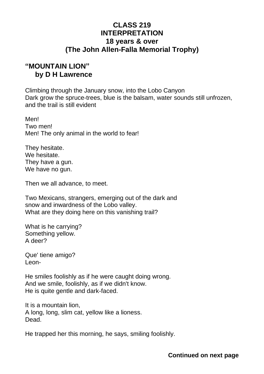#### **CLASS 219 INTERPRETATION 18 years & over (The John Allen-Falla Memorial Trophy)**

### **"MOUNTAIN LION" by D H Lawrence**

Climbing through the January snow, into the Lobo Canyon Dark grow the spruce-trees, blue is the balsam, water sounds still unfrozen, and the trail is still evident

Men! Two men! Men! The only animal in the world to fear!

They hesitate. We hesitate. They have a gun. We have no gun.

Then we all advance, to meet.

Two Mexicans, strangers, emerging out of the dark and snow and inwardness of the Lobo valley. What are they doing here on this vanishing trail?

What is he carrying? Something yellow. A deer?

Que' tiene amigo? Leon-

He smiles foolishly as if he were caught doing wrong. And we smile, foolishly, as if we didn't know. He is quite gentle and dark-faced.

It is a mountain lion, A long, long, slim cat, yellow like a lioness. Dead.

He trapped her this morning, he says, smiling foolishly.